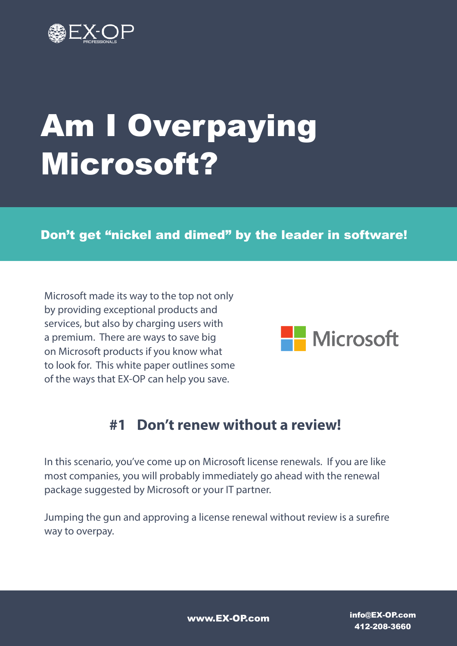

# Am I Overpaying Microsoft?

#### Don't get "nickel and dimed" by the leader in software!

Microsoft made its way to the top not only by providing exceptional products and services, but also by charging users with a premium. There are ways to save big on Microsoft products if you know what to look for. This white paper outlines some of the ways that EX-OP can help you save.



#### **#1 Don't renew without a review!**

In this scenario, you've come up on Microsoft license renewals. If you are like most companies, you will probably immediately go ahead with the renewal package suggested by Microsoft or your IT partner.

Jumping the gun and approving a license renewal without review is a surefire way to overpay.

www.EX-OP.com info@EX-OP.com 412-208-3660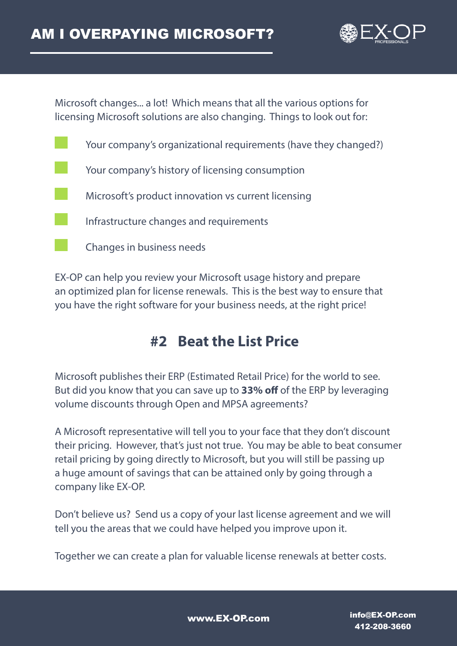

Microsoft changes... a lot! Which means that all the various options for licensing Microsoft solutions are also changing. Things to look out for:

- Your company's organizational requirements (have they changed?)
- Your company's history of licensing consumption
- Microsoft's product innovation vs current licensing
- Infrastructure changes and requirements
- Changes in business needs

EX-OP can help you review your Microsoft usage history and prepare an optimized plan for license renewals. This is the best way to ensure that you have the right software for your business needs, at the right price!

#### **#2 Beat the List Price**

Microsoft publishes their ERP (Estimated Retail Price) for the world to see. But did you know that you can save up to **33% off** of the ERP by leveraging volume discounts through Open and MPSA agreements?

A Microsoft representative will tell you to your face that they don't discount their pricing. However, that's just not true. You may be able to beat consumer retail pricing by going directly to Microsoft, but you will still be passing up a huge amount of savings that can be attained only by going through a company like EX-OP.

Don't believe us? Send us a copy of your last license agreement and we will tell you the areas that we could have helped you improve upon it.

Together we can create a plan for valuable license renewals at better costs.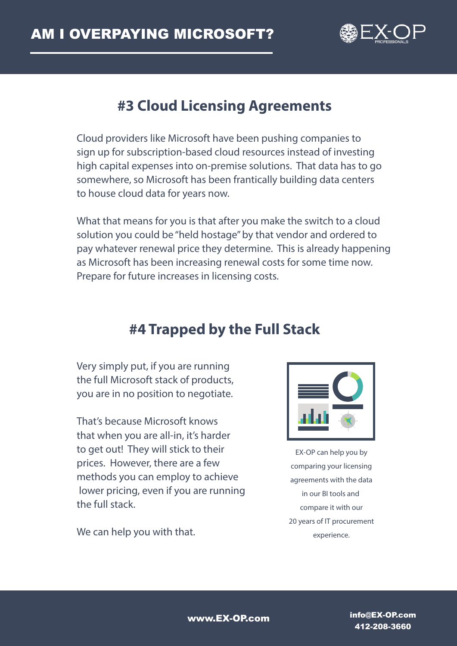

## **#3 Cloud Licensing Agreements**

Cloud providers like Microsoft have been pushing companies to sign up for subscription-based cloud resources instead of investing high capital expenses into on-premise solutions. That data has to go somewhere, so Microsoft has been frantically building data centers to house cloud data for years now.

What that means for you is that after you make the switch to a cloud solution you could be "held hostage" by that vendor and ordered to pay whatever renewal price they determine. This is already happening as Microsoft has been increasing renewal costs for some time now. Prepare for future increases in licensing costs.

## **#4 Trapped by the Full Stack**

Very simply put, if you are running the full Microsoft stack of products, you are in no position to negotiate.

That's because Microsoft knows that when you are all-in, it's harder to get out! They will stick to their prices. However, there are a few methods you can employ to achieve lower pricing, even if you are running the full stack.



EX-OP can help you by comparing your licensing agreements with the data in our BI tools and compare it with our 20 years of IT procurement experience.

We can help you with that.

www.EX-OP.com info@EX-OP.com 412-208-3660